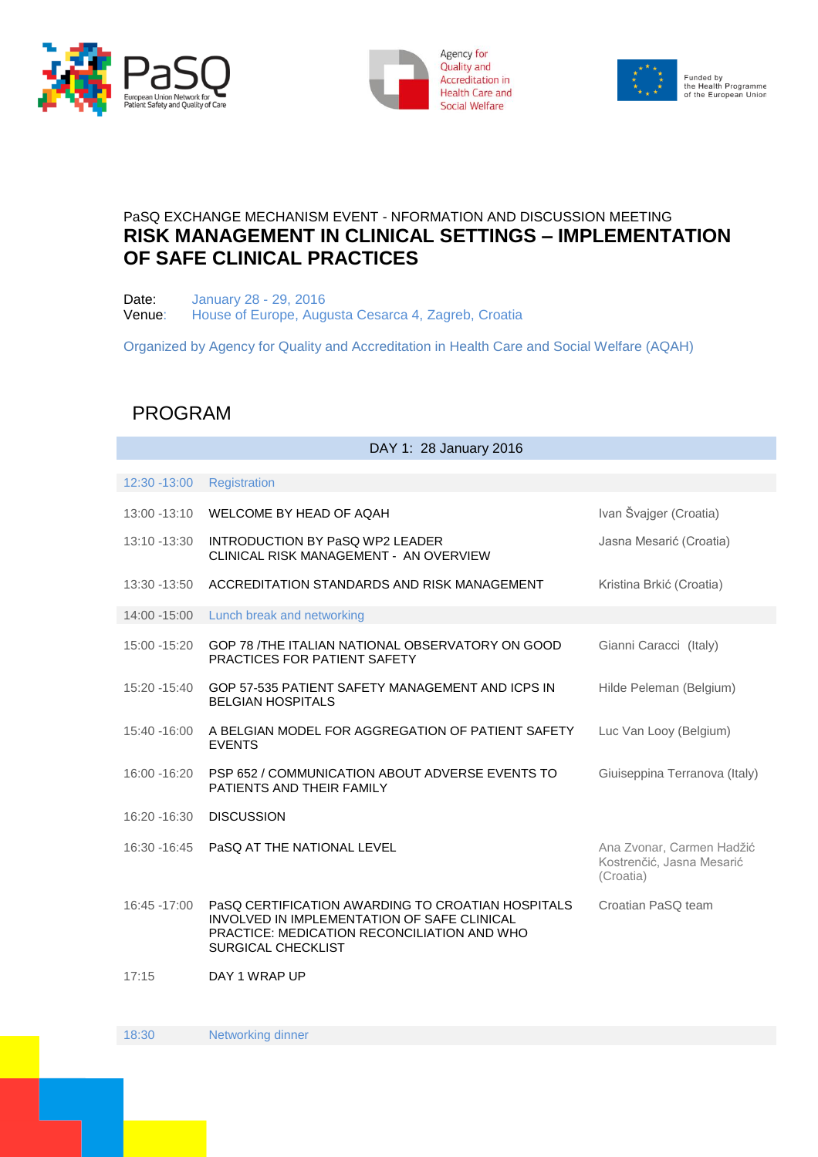





## PaSQ EXCHANGE MECHANISM EVENT - NFORMATION AND DISCUSSION MEETING **RISK MANAGEMENT IN CLINICAL SETTINGS – IMPLEMENTATION OF SAFE CLINICAL PRACTICES**

Date: January 28 - 29, 2016 Venue: House of Europe, Augusta Cesarca 4, Zagreb, Croatia

Organized by Agency for Quality and Accreditation in Health Care and Social Welfare (AQAH)

## PROGRAM

| DAY 1: 28 January 2016 |                                                                                                                                                                              |                                                                     |  |
|------------------------|------------------------------------------------------------------------------------------------------------------------------------------------------------------------------|---------------------------------------------------------------------|--|
|                        |                                                                                                                                                                              |                                                                     |  |
| 12:30 -13:00           | <b>Registration</b>                                                                                                                                                          |                                                                     |  |
|                        | 13:00 -13:10 WELCOME BY HEAD OF AQAH                                                                                                                                         | Ivan Švajger (Croatia)                                              |  |
| 13:10 -13:30           | <b>INTRODUCTION BY PASQ WP2 LEADER</b><br>CLINICAL RISK MANAGEMENT - AN OVERVIEW                                                                                             | Jasna Mesarić (Croatia)                                             |  |
|                        | 13:30 -13:50 ACCREDITATION STANDARDS AND RISK MANAGEMENT                                                                                                                     | Kristina Brkić (Croatia)                                            |  |
| 14:00 -15:00           | Lunch break and networking                                                                                                                                                   |                                                                     |  |
| 15:00 -15:20           | GOP 78 /THE ITALIAN NATIONAL OBSERVATORY ON GOOD<br><b>PRACTICES FOR PATIENT SAFETY</b>                                                                                      | Gianni Caracci (Italy)                                              |  |
| 15:20 -15:40           | GOP 57-535 PATIENT SAFETY MANAGEMENT AND ICPS IN<br><b>BELGIAN HOSPITALS</b>                                                                                                 | Hilde Peleman (Belgium)                                             |  |
| 15:40 -16:00           | A BELGIAN MODEL FOR AGGREGATION OF PATIENT SAFETY<br><b>EVENTS</b>                                                                                                           | Luc Van Looy (Belgium)                                              |  |
| 16:00 -16:20           | PSP 652 / COMMUNICATION ABOUT ADVERSE EVENTS TO<br>PATIENTS AND THEIR FAMILY                                                                                                 | Giuiseppina Terranova (Italy)                                       |  |
| 16:20 -16:30           | <b>DISCUSSION</b>                                                                                                                                                            |                                                                     |  |
| 16:30 - 16:45          | PASQ AT THE NATIONAL LEVEL                                                                                                                                                   | Ana Zvonar, Carmen Hadžić<br>Kostrenčić, Jasna Mesarić<br>(Croatia) |  |
| 16:45 -17:00           | PaSQ CERTIFICATION AWARDING TO CROATIAN HOSPITALS<br>INVOLVED IN IMPLEMENTATION OF SAFE CLINICAL<br>PRACTICE: MEDICATION RECONCILIATION AND WHO<br><b>SURGICAL CHECKLIST</b> | Croatian PaSQ team                                                  |  |
| 17:15                  | DAY 1 WRAP UP                                                                                                                                                                |                                                                     |  |

18:30 Networking dinner